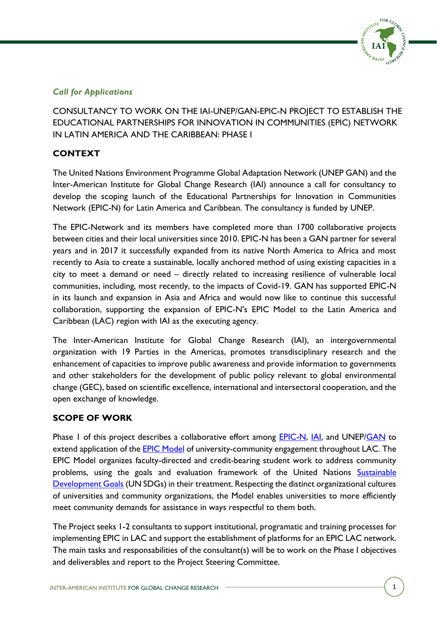

# *Call for Applications*

CONSULTANCY TO WORK ON THE IAI-UNEP/GAN-EPIC-N PROJECT TO ESTABLISH THE EDUCATIONAL PARTNERSHIPS FOR INNOVATION IN COMMUNITIES (EPIC) NETWORK IN LATIN AMERICA AND THE CARIBBEAN: PHASE I

# **CONTEXT**

The United Nations Environment Programme Global Adaptation Network (UNEP GAN) and the Inter-American Institute for Global Change Research (IAI) announce a call for consultancy to develop the scoping launch of the Educational Partnerships for Innovation in Communities Network (EPIC-N) for Latin America and Caribbean. The consultancy is funded by UNEP.

The EPIC-Network and its members have completed more than 1700 collaborative projects between cities and their local universities since 2010. EPIC-N has been a GAN partner for several years and in 2017 it successfully expanded from its native North America to Africa and most recently to Asia to create a sustainable, locally anchored method of using existing capacities in a city to meet a demand or need – directly related to increasing resilience of vulnerable local communities, including, most recently, to the impacts of Covid-19. GAN has supported EPIC-N in its launch and expansion in Asia and Africa and would now like to continue this successful collaboration, supporting the expansion of EPIC-N's EPIC Model to the Latin America and Caribbean (LAC) region with IAI as the executing agency.

The Inter-American Institute for Global Change Research (IAI), an intergovernmental organization with 19 Parties in the Americas, promotes transdisciplinary research and the enhancement of capacities to improve public awareness and provide information to governments and other stakeholders for the development of public policy relevant to global environmental change (GEC), based on scientific excellence, international and intersectoral cooperation, and the open exchange of knowledge.

## **SCOPE OF WORK**

Phase 1 of this project describes a collaborative effort among **EPIC-N, IAI**, and UNEP[/GAN](https://www.unep.org/gan/) to extend application of the **EPIC Model** of university-community engagement throughout LAC. The EPIC Model organizes faculty-directed and credit-bearing student work to address community problems, using the goals and evaluation framework of the United Nations Sustainable [Development Goals](https://sdgs.un.org/goals) (UN SDGs) in their treatment. Respecting the distinct organizational cultures of universities and community organizations, the Model enables universities to more efficiently meet community demands for assistance in ways respectful to them both.

The Project seeks 1-2 consultants to support institutional, programatic and training processes for implementing EPIC in LAC and support the establishment of platforms for an EPIC LAC network. The main tasks and responsabilities of the consultant(s) will be to work on the Phase I objectives and deliverables and report to the Project Steering Committee.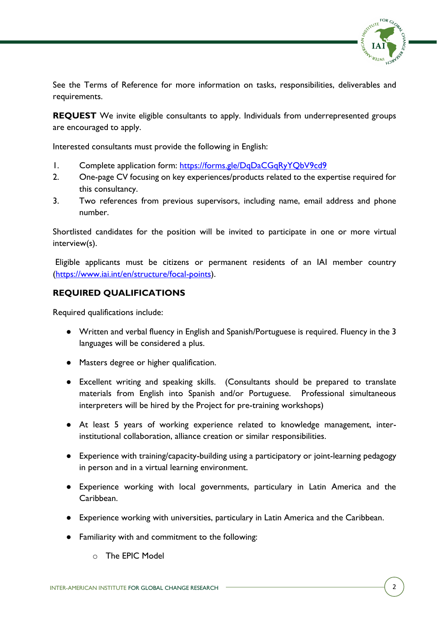

See the Terms of Reference for more information on tasks, responsibilities, deliverables and requirements.

**REQUEST** We invite eligible consultants to apply. Individuals from underrepresented groups are encouraged to apply.

Interested consultants must provide the following in English:

- 1. Complete application form: <https://forms.gle/DqDaCGqRyYQbV9cd9>
- 2. One-page CV focusing on key experiences/products related to the expertise required for this consultancy.
- 3. Two references from previous supervisors, including name, email address and phone number.

Shortlisted candidates for the position will be invited to participate in one or more virtual interview(s).

Eligible applicants must be citizens or permanent residents of an IAI member country [\(https://www.iai.int/en/structure/focal-points\)](https://www.iai.int/en/structure/focal-points).

### **REQUIRED QUALIFICATIONS**

Required qualifications include:

- Written and verbal fluency in English and Spanish/Portuguese is required. Fluency in the 3 languages will be considered a plus.
- Masters degree or higher qualification.
- Excellent writing and speaking skills. (Consultants should be prepared to translate materials from English into Spanish and/or Portuguese. Professional simultaneous interpreters will be hired by the Project for pre-training workshops)
- At least 5 years of working experience related to knowledge management, interinstitutional collaboration, alliance creation or similar responsibilities.
- Experience with training/capacity-building using a participatory or joint-learning pedagogy in person and in a virtual learning environment.
- Experience working with local governments, particulary in Latin America and the Caribbean.
- Experience working with universities, particulary in Latin America and the Caribbean.
- Familiarity with and commitment to the following:
	- o The EPIC Model